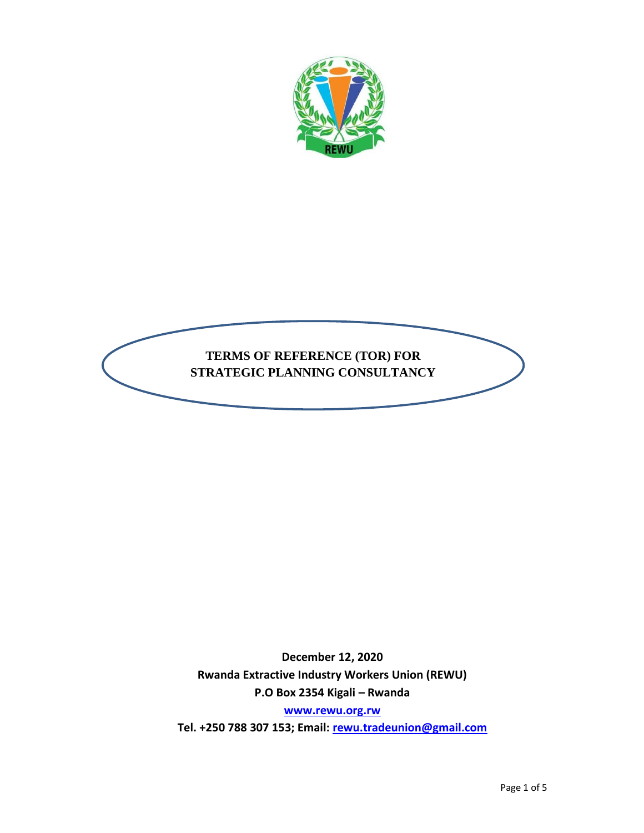



**December 12, 2020 Rwanda Extractive Industry Workers Union (REWU) P.O Box 2354 Kigali – Rwanda**

**[www.rewu.org.rw](http://www.rewu.org.rw/)**

**Tel. +250 788 307 153; Email: [rewu.tradeunion@gmail.com](mailto:rewu.tradeunion@gmail.com)**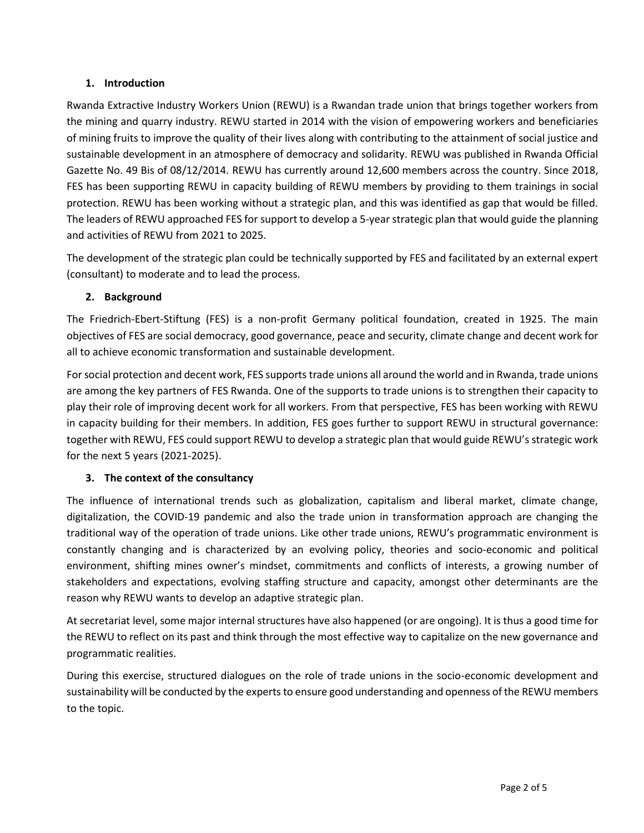# **1. Introduction**

Rwanda Extractive Industry Workers Union (REWU) is a Rwandan trade union that brings together workers from the mining and quarry industry. REWU started in 2014 with the vision of empowering workers and beneficiaries of mining fruits to improve the quality of their lives along with contributing to the attainment of social justice and sustainable development in an atmosphere of democracy and solidarity. REWU was published in Rwanda Official Gazette No. 49 Bis of 08/12/2014. REWU has currently around 12,600 members across the country. Since 2018, FES has been supporting REWU in capacity building of REWU members by providing to them trainings in social protection. REWU has been working without a strategic plan, and this was identified as gap that would be filled. The leaders of REWU approached FES for support to develop a 5-year strategic plan that would guide the planning and activities of REWU from 2021 to 2025.

The development of the strategic plan could be technically supported by FES and facilitated by an external expert (consultant) to moderate and to lead the process.

# **2. Background**

The Friedrich-Ebert-Stiftung (FES) is a non-profit Germany political foundation, created in 1925. The main objectives of FES are social democracy, good governance, peace and security, climate change and decent work for all to achieve economic transformation and sustainable development.

For social protection and decent work, FES supports trade unions all around the world and in Rwanda, trade unions are among the key partners of FES Rwanda. One of the supports to trade unions is to strengthen their capacity to play their role of improving decent work for all workers. From that perspective, FES has been working with REWU in capacity building for their members. In addition, FES goes further to support REWU in structural governance: together with REWU, FES could support REWU to develop a strategic plan that would guide REWU's strategic work for the next 5 years (2021-2025).

# **3. The context of the consultancy**

The influence of international trends such as globalization, capitalism and liberal market, climate change, digitalization, the COVID-19 pandemic and also the trade union in transformation approach are changing the traditional way of the operation of trade unions. Like other trade unions, REWU's programmatic environment is constantly changing and is characterized by an evolving policy, theories and socio-economic and political environment, shifting mines owner's mindset, commitments and conflicts of interests, a growing number of stakeholders and expectations, evolving staffing structure and capacity, amongst other determinants are the reason why REWU wants to develop an adaptive strategic plan.

At secretariat level, some major internal structures have also happened (or are ongoing). It is thus a good time for the REWU to reflect on its past and think through the most effective way to capitalize on the new governance and programmatic realities.

During this exercise, structured dialogues on the role of trade unions in the socio-economic development and sustainability will be conducted by the experts to ensure good understanding and openness of the REWU members to the topic.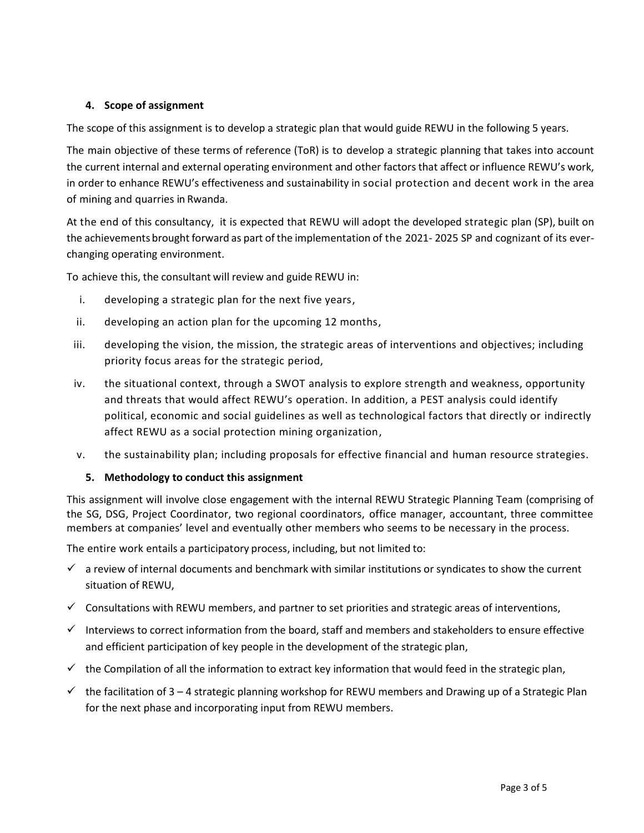## **4. Scope of assignment**

The scope of this assignment is to develop a strategic plan that would guide REWU in the following 5 years.

The main objective of these terms of reference (ToR) is to develop a strategic planning that takes into account the current internal and external operating environment and other factors that affect or influence REWU's work, in order to enhance REWU's effectiveness and sustainability in social protection and decent work in the area of mining and quarries in Rwanda.

At the end of this consultancy, it is expected that REWU will adopt the developed strategic plan (SP), built on the achievements brought forward as part of the implementation of the 2021- 2025 SP and cognizant of its everchanging operating environment.

To achieve this, the consultant will review and guide REWU in:

- i. developing a strategic plan for the next five years,
- ii. developing an action plan for the upcoming 12 months,
- iii. developing the vision, the mission, the strategic areas of interventions and objectives; including priority focus areas for the strategic period,
- iv. the situational context, through a SWOT analysis to explore strength and weakness, opportunity and threats that would affect REWU's operation. In addition, a PEST analysis could identify political, economic and social guidelines as well as technological factors that directly or indirectly affect REWU as a social protection mining organization,
- v. the sustainability plan; including proposals for effective financial and human resource strategies.

# **5. Methodology to conduct this assignment**

This assignment will involve close engagement with the internal REWU Strategic Planning Team (comprising of the SG, DSG, Project Coordinator, two regional coordinators, office manager, accountant, three committee members at companies' level and eventually other members who seems to be necessary in the process.

The entire work entails a participatory process, including, but not limited to:

- $\checkmark$  a review of internal documents and benchmark with similar institutions or syndicates to show the current situation of REWU,
- $\checkmark$  Consultations with REWU members, and partner to set priorities and strategic areas of interventions,
- ✓ Interviews to correct information from the board, staff and members and stakeholders to ensure effective and efficient participation of key people in the development of the strategic plan,
- $\checkmark$  the Compilation of all the information to extract key information that would feed in the strategic plan,
- $\checkmark$  the facilitation of 3 4 strategic planning workshop for REWU members and Drawing up of a Strategic Plan for the next phase and incorporating input from REWU members.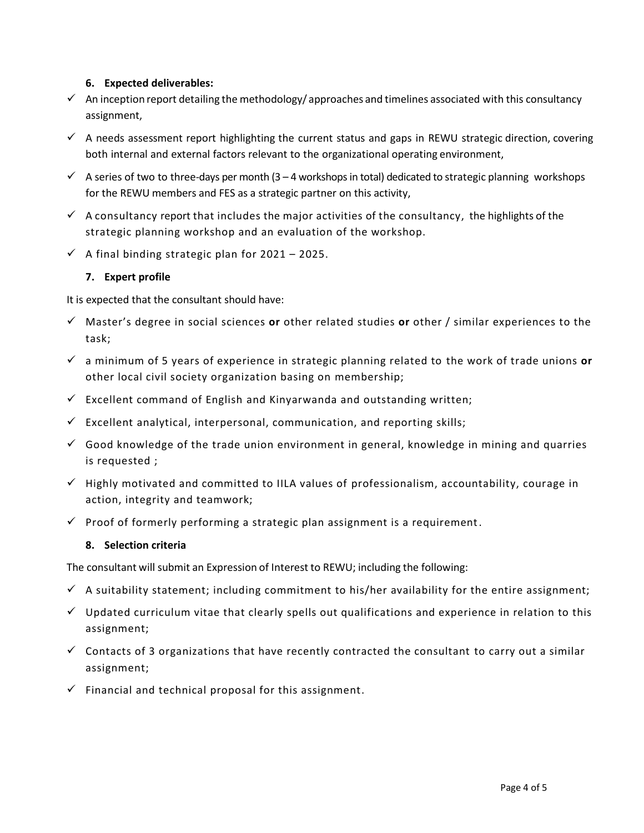### **6. Expected deliverables:**

- $\checkmark$  An inception report detailing the methodology/approaches and timelines associated with this consultancy assignment,
- $\checkmark$  A needs assessment report highlighting the current status and gaps in REWU strategic direction, covering both internal and external factors relevant to the organizational operating environment,
- $\checkmark$  A series of two to three-days per month (3 4 workshops in total) dedicated to strategic planning workshops for the REWU members and FES as a strategic partner on this activity,
- $\checkmark$  A consultancy report that includes the major activities of the consultancy, the highlights of the strategic planning workshop and an evaluation of the workshop.
- $\checkmark$  A final binding strategic plan for 2021 2025.

# **7. Expert profile**

It is expected that the consultant should have:

- ✓ Master's degree in social sciences **or** other related studies **or** other / similar experiences to the task;
- ✓ a minimum of 5 years of experience in strategic planning related to the work of trade unions **or** other local civil society organization basing on membership;
- $\checkmark$  Excellent command of English and Kinyarwanda and outstanding written;
- $\checkmark$  Excellent analytical, interpersonal, communication, and reporting skills;
- $\checkmark$  Good knowledge of the trade union environment in general, knowledge in mining and quarries is requested ;
- $\checkmark$  Highly motivated and committed to IILA values of professionalism, accountability, courage in action, integrity and teamwork;
- $\checkmark$  Proof of formerly performing a strategic plan assignment is a requirement.

### **8. Selection criteria**

The consultant will submit an Expression of Interest to REWU; including the following:

- $\checkmark$  A suitability statement; including commitment to his/her availability for the entire assignment;
- $\checkmark$  Updated curriculum vitae that clearly spells out qualifications and experience in relation to this assignment;
- $\checkmark$  Contacts of 3 organizations that have recently contracted the consultant to carry out a similar assignment;
- $\checkmark$  Financial and technical proposal for this assignment.